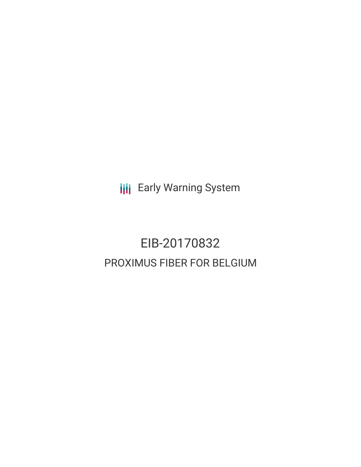**III** Early Warning System

## EIB-20170832 PROXIMUS FIBER FOR BELGIUM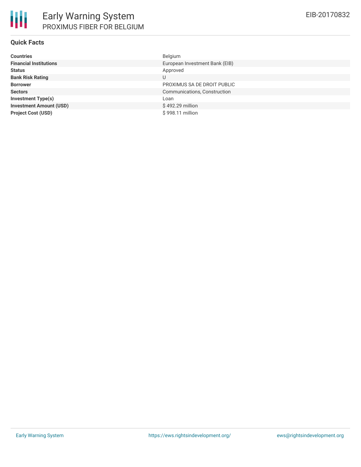### **Quick Facts**

| <b>Countries</b>               | Belgium                        |
|--------------------------------|--------------------------------|
| <b>Financial Institutions</b>  | European Investment Bank (EIB) |
| <b>Status</b>                  | Approved                       |
| <b>Bank Risk Rating</b>        | U                              |
| <b>Borrower</b>                | PROXIMUS SA DE DROIT PUBLIC    |
| <b>Sectors</b>                 | Communications, Construction   |
| <b>Investment Type(s)</b>      | Loan                           |
| <b>Investment Amount (USD)</b> | \$492.29 million               |
| <b>Project Cost (USD)</b>      | \$998.11 million               |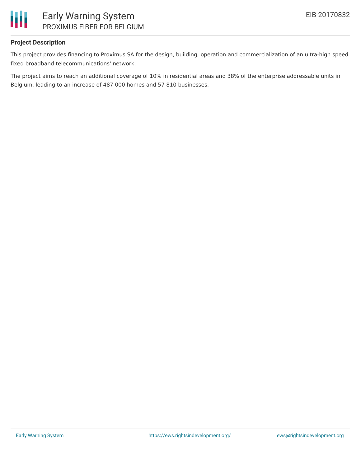

### **Project Description**

This project provides financing to Proximus SA for the design, building, operation and commercialization of an ultra-high speed fixed broadband telecommunications' network.

The project aims to reach an additional coverage of 10% in residential areas and 38% of the enterprise addressable units in Belgium, leading to an increase of 487 000 homes and 57 810 businesses.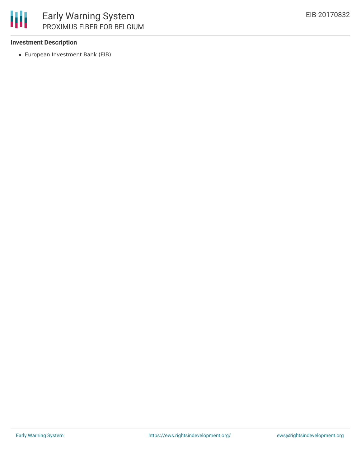

### **Investment Description**

European Investment Bank (EIB)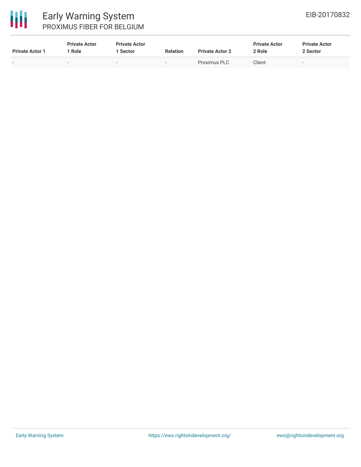

# 冊

### Early Warning System PROXIMUS FIBER FOR BELGIUM

| <b>Private Actor 1</b> | <b>Private Actor</b><br>Role | <b>Private Actor</b><br><b>Sector</b> | <b>Relation</b>          | <b>Private Actor 2</b> | <b>Private Actor</b><br>2 Role | <b>Private Actor</b><br>2 Sector |
|------------------------|------------------------------|---------------------------------------|--------------------------|------------------------|--------------------------------|----------------------------------|
| $\sim$                 | -                            | $\sim$                                | $\overline{\phantom{0}}$ | Proximus PLC           | Client                         |                                  |